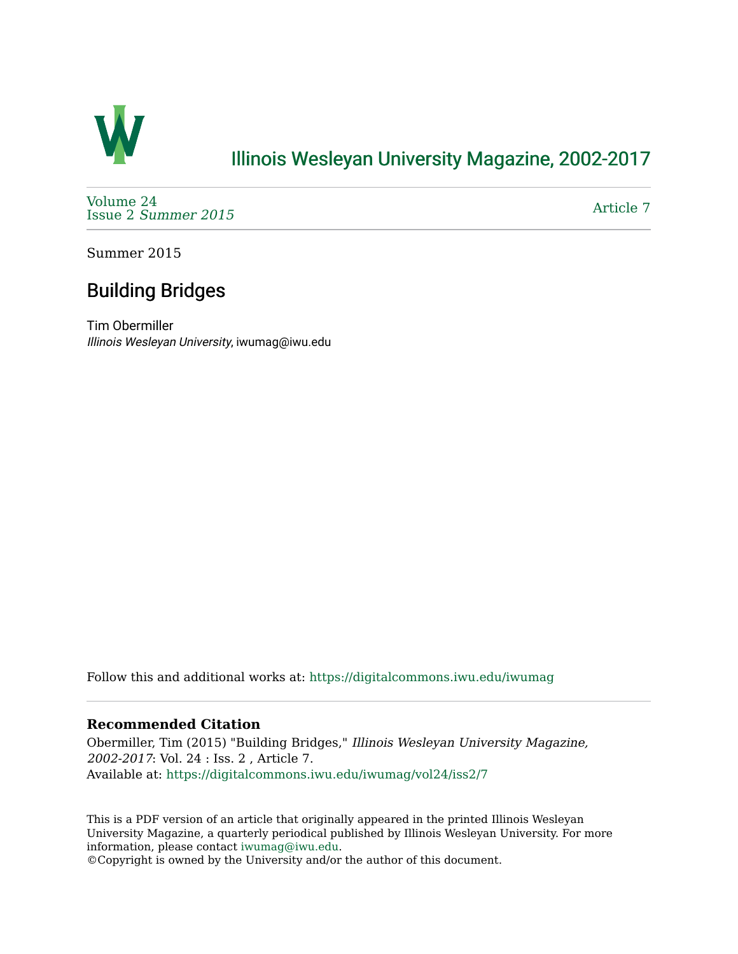

## [Illinois Wesleyan University Magazine, 2002-2017](https://digitalcommons.iwu.edu/iwumag)

[Volume 24](https://digitalcommons.iwu.edu/iwumag/vol24)  Issue 2 [Summer 2015](https://digitalcommons.iwu.edu/iwumag/vol24/iss2) 

[Article 7](https://digitalcommons.iwu.edu/iwumag/vol24/iss2/7) 

Summer 2015

## Building Bridges

Tim Obermiller Illinois Wesleyan University, iwumag@iwu.edu

Follow this and additional works at: [https://digitalcommons.iwu.edu/iwumag](https://digitalcommons.iwu.edu/iwumag?utm_source=digitalcommons.iwu.edu%2Fiwumag%2Fvol24%2Fiss2%2F7&utm_medium=PDF&utm_campaign=PDFCoverPages) 

## **Recommended Citation**

Obermiller, Tim (2015) "Building Bridges," Illinois Wesleyan University Magazine, 2002-2017: Vol. 24 : Iss. 2 , Article 7. Available at: [https://digitalcommons.iwu.edu/iwumag/vol24/iss2/7](https://digitalcommons.iwu.edu/iwumag/vol24/iss2/7?utm_source=digitalcommons.iwu.edu%2Fiwumag%2Fvol24%2Fiss2%2F7&utm_medium=PDF&utm_campaign=PDFCoverPages)

This is a PDF version of an article that originally appeared in the printed Illinois Wesleyan University Magazine, a quarterly periodical published by Illinois Wesleyan University. For more information, please contact [iwumag@iwu.edu](mailto:iwumag@iwu.edu).

©Copyright is owned by the University and/or the author of this document.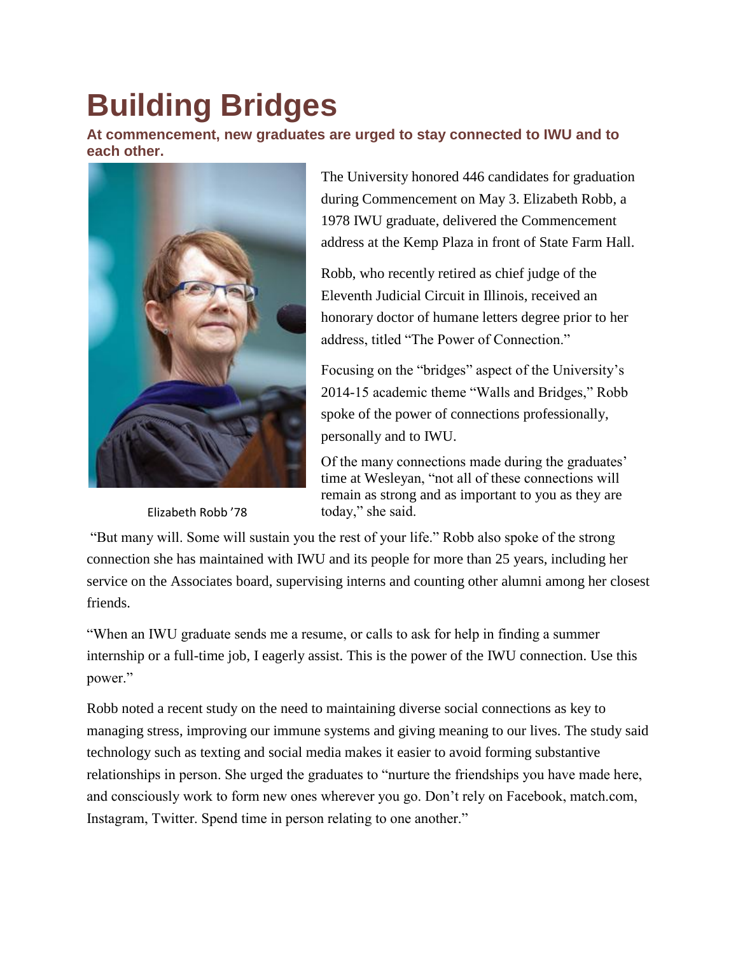## **Building Bridges**

**At commencement, new graduates are urged to stay connected to IWU and to each other.**



Elizabeth Robb '78

The University honored 446 candidates for graduation during Commencement on May 3. Elizabeth Robb, a 1978 IWU graduate, delivered the Commencement address at the Kemp Plaza in front of State Farm Hall.

Robb, who recently retired as chief judge of the Eleventh Judicial Circuit in Illinois, received an honorary doctor of humane letters degree prior to her address, titled "The Power of Connection."

Focusing on the "bridges" aspect of the University's 2014-15 academic theme "Walls and Bridges," Robb spoke of the power of connections professionally, personally and to IWU.

Of the many connections made during the graduates' time at Wesleyan, "not all of these connections will remain as strong and as important to you as they are today," she said.

"But many will. Some will sustain you the rest of your life." Robb also spoke of the strong connection she has maintained with IWU and its people for more than 25 years, including her service on the Associates board, supervising interns and counting other alumni among her closest friends.

"When an IWU graduate sends me a resume, or calls to ask for help in finding a summer internship or a full-time job, I eagerly assist. This is the power of the IWU connection. Use this power."

Robb noted a recent study on the need to maintaining diverse social connections as key to managing stress, improving our immune systems and giving meaning to our lives. The study said technology such as texting and social media makes it easier to avoid forming substantive relationships in person. She urged the graduates to "nurture the friendships you have made here, and consciously work to form new ones wherever you go. Don't rely on Facebook, match.com, Instagram, Twitter. Spend time in person relating to one another."